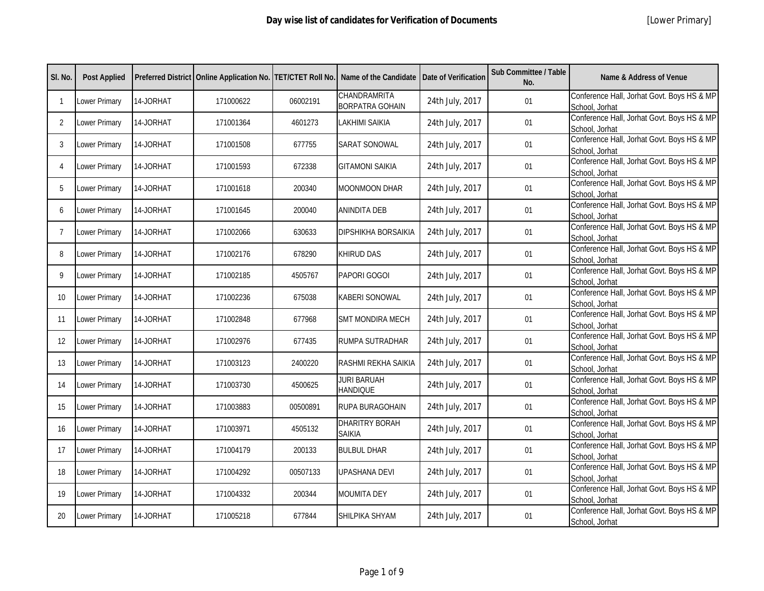| SI. No.        | <b>Post Applied</b> |           |           |          | Preferred District   Online Application No.   TET/CTET Roll No.   Name of the Candidate   Date of Verification |                 | Sub Committee / Table<br>No. | <b>Name &amp; Address of Venue</b>                           |
|----------------|---------------------|-----------|-----------|----------|----------------------------------------------------------------------------------------------------------------|-----------------|------------------------------|--------------------------------------------------------------|
| $\mathbf{1}$   | Lower Primary       | 14-JORHAT | 171000622 | 06002191 | CHANDRAMRITA<br><b>BORPATRA GOHAIN</b>                                                                         | 24th July, 2017 | 01                           | Conference Hall, Jorhat Govt. Boys HS & MP<br>School, Jorhat |
| $\overline{2}$ | Lower Primary       | 14-JORHAT | 171001364 | 4601273  | <b>LAKHIMI SAIKIA</b>                                                                                          | 24th July, 2017 | 01                           | Conference Hall, Jorhat Govt. Boys HS & MP<br>School, Jorhat |
| 3              | Lower Primary       | 14-JORHAT | 171001508 | 677755   | <b>SARAT SONOWAL</b>                                                                                           | 24th July, 2017 | 01                           | Conference Hall, Jorhat Govt. Boys HS & MP<br>School, Jorhat |
| 4              | Lower Primary       | 14-JORHAT | 171001593 | 672338   | <b>GITAMONI SAIKIA</b>                                                                                         | 24th July, 2017 | 01                           | Conference Hall, Jorhat Govt. Boys HS & MP<br>School, Jorhat |
| 5              | Lower Primary       | 14-JORHAT | 171001618 | 200340   | MOONMOON DHAR                                                                                                  | 24th July, 2017 | 01                           | Conference Hall, Jorhat Govt. Boys HS & MP<br>School, Jorhat |
| 6              | Lower Primary       | 14-JORHAT | 171001645 | 200040   | <b>ANINDITA DEB</b>                                                                                            | 24th July, 2017 | 01                           | Conference Hall, Jorhat Govt. Boys HS & MP<br>School, Jorhat |
| $\overline{7}$ | Lower Primary       | 14-JORHAT | 171002066 | 630633   | <b>DIPSHIKHA BORSAIKIA</b>                                                                                     | 24th July, 2017 | 01                           | Conference Hall, Jorhat Govt. Boys HS & MP<br>School, Jorhat |
| 8              | Lower Primary       | 14-JORHAT | 171002176 | 678290   | <b>KHIRUD DAS</b>                                                                                              | 24th July, 2017 | 01                           | Conference Hall, Jorhat Govt. Boys HS & MP<br>School, Jorhat |
| 9              | Lower Primary       | 14-JORHAT | 171002185 | 4505767  | PAPORI GOGOI                                                                                                   | 24th July, 2017 | 01                           | Conference Hall, Jorhat Govt. Boys HS & MP<br>School, Jorhat |
| 10             | Lower Primary       | 14-JORHAT | 171002236 | 675038   | <b>KABERI SONOWAL</b>                                                                                          | 24th July, 2017 | 01                           | Conference Hall, Jorhat Govt. Boys HS & MP<br>School, Jorhat |
| 11             | Lower Primary       | 14-JORHAT | 171002848 | 677968   | <b>SMT MONDIRA MECH</b>                                                                                        | 24th July, 2017 | 01                           | Conference Hall, Jorhat Govt. Boys HS & MP<br>School, Jorhat |
| 12             | Lower Primary       | 14-JORHAT | 171002976 | 677435   | RUMPA SUTRADHAR                                                                                                | 24th July, 2017 | 01                           | Conference Hall, Jorhat Govt. Boys HS & MP<br>School, Jorhat |
| 13             | Lower Primary       | 14-JORHAT | 171003123 | 2400220  | RASHMI REKHA SAIKIA                                                                                            | 24th July, 2017 | 01                           | Conference Hall, Jorhat Govt. Boys HS & MP<br>School, Jorhat |
| 14             | Lower Primary       | 14-JORHAT | 171003730 | 4500625  | <b>JURI BARUAH</b><br><b>HANDIQUE</b>                                                                          | 24th July, 2017 | 01                           | Conference Hall, Jorhat Govt. Boys HS & MP<br>School, Jorhat |
| 15             | Lower Primary       | 14-JORHAT | 171003883 | 00500891 | RUPA BURAGOHAIN                                                                                                | 24th July, 2017 | 01                           | Conference Hall, Jorhat Govt. Boys HS & MP<br>School, Jorhat |
| 16             | Lower Primary       | 14-JORHAT | 171003971 | 4505132  | <b>DHARITRY BORAH</b><br><b>SAIKIA</b>                                                                         | 24th July, 2017 | 01                           | Conference Hall, Jorhat Govt. Boys HS & MP<br>School, Jorhat |
| 17             | Lower Primary       | 14-JORHAT | 171004179 | 200133   | <b>BULBUL DHAR</b>                                                                                             | 24th July, 2017 | 01                           | Conference Hall, Jorhat Govt. Boys HS & MP<br>School, Jorhat |
| 18             | Lower Primary       | 14-JORHAT | 171004292 | 00507133 | <b>UPASHANA DEVI</b>                                                                                           | 24th July, 2017 | 01                           | Conference Hall, Jorhat Govt. Boys HS & MP<br>School, Jorhat |
| 19             | Lower Primary       | 14-JORHAT | 171004332 | 200344   | <b>MOUMITA DEY</b>                                                                                             | 24th July, 2017 | 01                           | Conference Hall, Jorhat Govt. Boys HS & MP<br>School, Jorhat |
| 20             | Lower Primary       | 14-JORHAT | 171005218 | 677844   | SHILPIKA SHYAM                                                                                                 | 24th July, 2017 | 01                           | Conference Hall, Jorhat Govt. Boys HS & MP<br>School, Jorhat |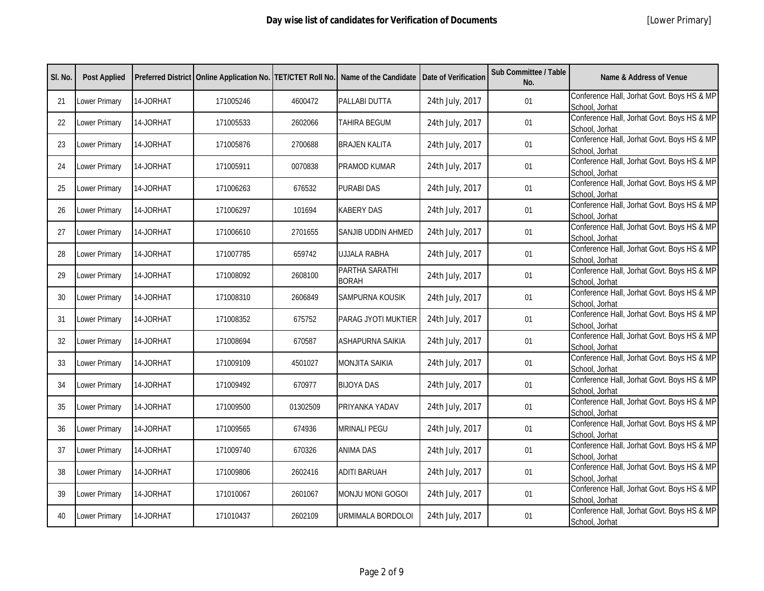| SI. No. | <b>Post Applied</b> |           |           |          | Preferred District   Online Application No.   TET/CTET Roll No.   Name of the Candidate | Date of Verification | <b>Sub Committee / Table</b><br>No. | Name & Address of Venue                                      |
|---------|---------------------|-----------|-----------|----------|-----------------------------------------------------------------------------------------|----------------------|-------------------------------------|--------------------------------------------------------------|
| 21      | Lower Primary       | 14-JORHAT | 171005246 | 4600472  | PALLABI DUTTA                                                                           | 24th July, 2017      | 01                                  | Conference Hall, Jorhat Govt. Boys HS & MP<br>School, Jorhat |
| 22      | Lower Primary       | 14-JORHAT | 171005533 | 2602066  | <b>TAHIRA BEGUM</b>                                                                     | 24th July, 2017      | 01                                  | Conference Hall, Jorhat Govt. Boys HS & MP<br>School, Jorhat |
| 23      | Lower Primary       | 14-JORHAT | 171005876 | 2700688  | <b>BRAJEN KALITA</b>                                                                    | 24th July, 2017      | 01                                  | Conference Hall, Jorhat Govt. Boys HS & MP<br>School, Jorhat |
| 24      | Lower Primary       | 14-JORHAT | 171005911 | 0070838  | PRAMOD KUMAR                                                                            | 24th July, 2017      | 01                                  | Conference Hall, Jorhat Govt. Boys HS & MP<br>School, Jorhat |
| 25      | Lower Primary       | 14-JORHAT | 171006263 | 676532   | <b>PURABI DAS</b>                                                                       | 24th July, 2017      | 01                                  | Conference Hall, Jorhat Govt. Boys HS & MP<br>School, Jorhat |
| 26      | Lower Primary       | 14-JORHAT | 171006297 | 101694   | <b>KABERY DAS</b>                                                                       | 24th July, 2017      | 01                                  | Conference Hall, Jorhat Govt. Boys HS & MP<br>School, Jorhat |
| 27      | Lower Primary       | 14-JORHAT | 171006610 | 2701655  | SANJIB UDDIN AHMED                                                                      | 24th July, 2017      | 01                                  | Conference Hall, Jorhat Govt. Boys HS & MP<br>School, Jorhat |
| 28      | Lower Primary       | 14-JORHAT | 171007785 | 659742   | <b>UJJALA RABHA</b>                                                                     | 24th July, 2017      | 01                                  | Conference Hall, Jorhat Govt. Boys HS & MP<br>School, Jorhat |
| 29      | Lower Primary       | 14-JORHAT | 171008092 | 2608100  | PARTHA SARATHI<br><b>BORAH</b>                                                          | 24th July, 2017      | 01                                  | Conference Hall, Jorhat Govt. Boys HS & MP<br>School, Jorhat |
| 30      | Lower Primary       | 14-JORHAT | 171008310 | 2606849  | SAMPURNA KOUSIK                                                                         | 24th July, 2017      | 01                                  | Conference Hall, Jorhat Govt. Boys HS & MP<br>School, Jorhat |
| 31      | Lower Primary       | 14-JORHAT | 171008352 | 675752   | PARAG JYOTI MUKTIER                                                                     | 24th July, 2017      | 01                                  | Conference Hall, Jorhat Govt. Boys HS & MP<br>School, Jorhat |
| 32      | Lower Primary       | 14-JORHAT | 171008694 | 670587   | <b>ASHAPURNA SAIKIA</b>                                                                 | 24th July, 2017      | 01                                  | Conference Hall, Jorhat Govt. Boys HS & MP<br>School, Jorhat |
| 33      | Lower Primary       | 14-JORHAT | 171009109 | 4501027  | <b>MONJITA SAIKIA</b>                                                                   | 24th July, 2017      | 01                                  | Conference Hall, Jorhat Govt. Boys HS & MP<br>School, Jorhat |
| 34      | Lower Primary       | 14-JORHAT | 171009492 | 670977   | <b>BIJOYA DAS</b>                                                                       | 24th July, 2017      | 01                                  | Conference Hall, Jorhat Govt. Boys HS & MP<br>School, Jorhat |
| 35      | Lower Primary       | 14-JORHAT | 171009500 | 01302509 | PRIYANKA YADAV                                                                          | 24th July, 2017      | 01                                  | Conference Hall, Jorhat Govt. Boys HS & MP<br>School, Jorhat |
| 36      | Lower Primary       | 14-JORHAT | 171009565 | 674936   | <b>MRINALI PEGU</b>                                                                     | 24th July, 2017      | 01                                  | Conference Hall, Jorhat Govt. Boys HS & MP<br>School, Jorhat |
| 37      | Lower Primary       | 14-JORHAT | 171009740 | 670326   | <b>ANIMA DAS</b>                                                                        | 24th July, 2017      | 01                                  | Conference Hall, Jorhat Govt. Boys HS & MP<br>School, Jorhat |
| 38      | Lower Primary       | 14-JORHAT | 171009806 | 2602416  | <b>ADITI BARUAH</b>                                                                     | 24th July, 2017      | 01                                  | Conference Hall, Jorhat Govt. Boys HS & MP<br>School, Jorhat |
| 39      | Lower Primary       | 14-JORHAT | 171010067 | 2601067  | MONJU MONI GOGOI                                                                        | 24th July, 2017      | 01                                  | Conference Hall, Jorhat Govt. Boys HS & MP<br>School, Jorhat |
| 40      | Lower Primary       | 14-JORHAT | 171010437 | 2602109  | URMIMALA BORDOLOI                                                                       | 24th July, 2017      | 01                                  | Conference Hall, Jorhat Govt. Boys HS & MP<br>School, Jorhat |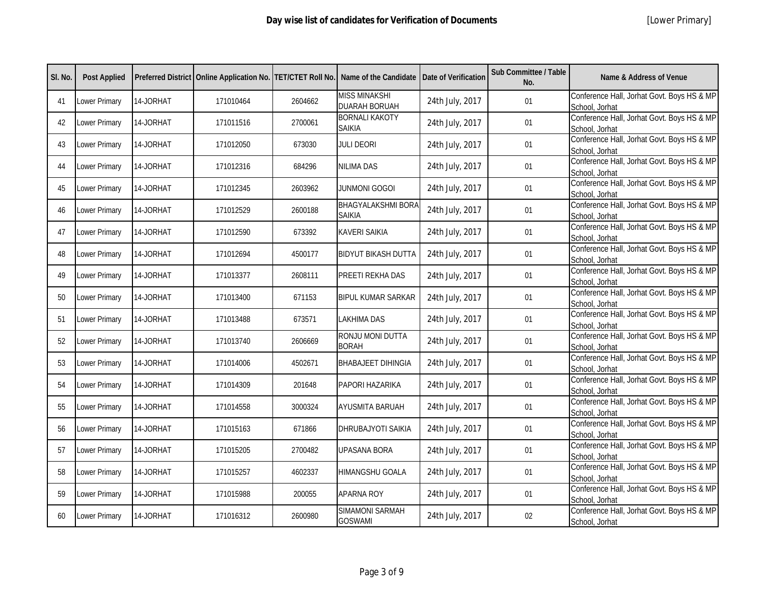| SI. No. | <b>Post Applied</b> |           |           |         | Preferred District   Online Application No.   TET/CTET Roll No.   Name of the Candidate   Date of Verification |                 | Sub Committee / Table<br>No. | Name & Address of Venue                                      |
|---------|---------------------|-----------|-----------|---------|----------------------------------------------------------------------------------------------------------------|-----------------|------------------------------|--------------------------------------------------------------|
| 41      | Lower Primary       | 14-JORHAT | 171010464 | 2604662 | <b>MISS MINAKSHI</b><br><b>DUARAH BORUAH</b>                                                                   | 24th July, 2017 | 01                           | Conference Hall, Jorhat Govt. Boys HS & MP<br>School, Jorhat |
| 42      | Lower Primary       | 14-JORHAT | 171011516 | 2700061 | <b>BORNALI KAKOTY</b><br><b>SAIKIA</b>                                                                         | 24th July, 2017 | 01                           | Conference Hall, Jorhat Govt. Boys HS & MP<br>School, Jorhat |
| 43      | Lower Primary       | 14-JORHAT | 171012050 | 673030  | <b>JULI DEORI</b>                                                                                              | 24th July, 2017 | 01                           | Conference Hall, Jorhat Govt. Boys HS & MP<br>School, Jorhat |
| 44      | Lower Primary       | 14-JORHAT | 171012316 | 684296  | <b>NILIMA DAS</b>                                                                                              | 24th July, 2017 | 01                           | Conference Hall, Jorhat Govt. Boys HS & MP<br>School, Jorhat |
| 45      | Lower Primary       | 14-JORHAT | 171012345 | 2603962 | <b>JUNMONI GOGOI</b>                                                                                           | 24th July, 2017 | 01                           | Conference Hall, Jorhat Govt. Boys HS & MP<br>School, Jorhat |
| 46      | Lower Primary       | 14-JORHAT | 171012529 | 2600188 | <b>BHAGYALAKSHMI BORA</b><br>Saikia                                                                            | 24th July, 2017 | 01                           | Conference Hall, Jorhat Govt. Boys HS & MP<br>School, Jorhat |
| 47      | Lower Primary       | 14-JORHAT | 171012590 | 673392  | <b>KAVERI SAIKIA</b>                                                                                           | 24th July, 2017 | 01                           | Conference Hall, Jorhat Govt. Boys HS & MP<br>School, Jorhat |
| 48      | Lower Primary       | 14-JORHAT | 171012694 | 4500177 | <b>BIDYUT BIKASH DUTTA</b>                                                                                     | 24th July, 2017 | 01                           | Conference Hall, Jorhat Govt. Boys HS & MP<br>School, Jorhat |
| 49      | Lower Primary       | 14-JORHAT | 171013377 | 2608111 | PREETI REKHA DAS                                                                                               | 24th July, 2017 | 01                           | Conference Hall, Jorhat Govt. Boys HS & MP<br>School, Jorhat |
| 50      | Lower Primary       | 14-JORHAT | 171013400 | 671153  | <b>BIPUL KUMAR SARKAR</b>                                                                                      | 24th July, 2017 | 01                           | Conference Hall, Jorhat Govt. Boys HS & MP<br>School, Jorhat |
| 51      | Lower Primary       | 14-JORHAT | 171013488 | 673571  | LAKHIMA DAS                                                                                                    | 24th July, 2017 | 01                           | Conference Hall, Jorhat Govt. Boys HS & MP<br>School, Jorhat |
| 52      | Lower Primary       | 14-JORHAT | 171013740 | 2606669 | RONJU MONI DUTTA<br><b>BORAH</b>                                                                               | 24th July, 2017 | 01                           | Conference Hall, Jorhat Govt. Boys HS & MP<br>School, Jorhat |
| 53      | Lower Primary       | 14-JORHAT | 171014006 | 4502671 | <b>BHABAJEET DIHINGIA</b>                                                                                      | 24th July, 2017 | 01                           | Conference Hall, Jorhat Govt. Boys HS & MP<br>School, Jorhat |
| 54      | Lower Primary       | 14-JORHAT | 171014309 | 201648  | PAPORI HAZARIKA                                                                                                | 24th July, 2017 | $01$                         | Conference Hall, Jorhat Govt. Boys HS & MP<br>School, Jorhat |
| 55      | Lower Primary       | 14-JORHAT | 171014558 | 3000324 | AYUSMITA BARUAH                                                                                                | 24th July, 2017 | 01                           | Conference Hall, Jorhat Govt. Boys HS & MP<br>School, Jorhat |
| 56      | Lower Primary       | 14-JORHAT | 171015163 | 671866  | DHRUBAJYOTI SAIKIA                                                                                             | 24th July, 2017 | 01                           | Conference Hall, Jorhat Govt. Boys HS & MP<br>School, Jorhat |
| 57      | Lower Primary       | 14-JORHAT | 171015205 | 2700482 | <b>UPASANA BORA</b>                                                                                            | 24th July, 2017 | 01                           | Conference Hall, Jorhat Govt. Boys HS & MP<br>School, Jorhat |
| 58      | Lower Primary       | 14-JORHAT | 171015257 | 4602337 | <b>HIMANGSHU GOALA</b>                                                                                         | 24th July, 2017 | 01                           | Conference Hall, Jorhat Govt. Boys HS & MP<br>School, Jorhat |
| 59      | Lower Primary       | 14-JORHAT | 171015988 | 200055  | APARNA ROY                                                                                                     | 24th July, 2017 | 01                           | Conference Hall, Jorhat Govt. Boys HS & MP<br>School, Jorhat |
| 60      | Lower Primary       | 14-JORHAT | 171016312 | 2600980 | SIMAMONI SARMAH<br><b>GOSWAMI</b>                                                                              | 24th July, 2017 | 02                           | Conference Hall, Jorhat Govt. Boys HS & MP<br>School, Jorhat |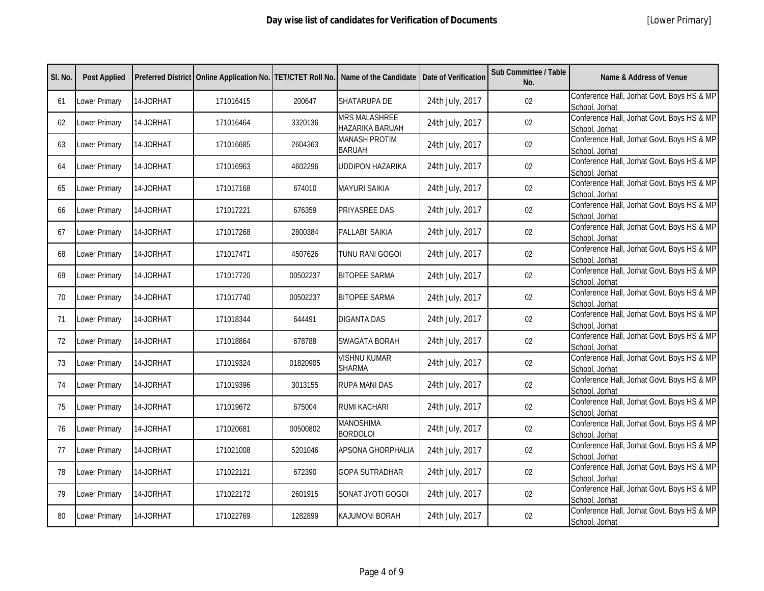| SI. No. | <b>Post Applied</b>  |           |           |          | Preferred District   Online Application No.   TET/CTET Roll No.   Name of the Candidate   Date of Verification |                 | Sub Committee / Table<br>No. | Name & Address of Venue                                      |
|---------|----------------------|-----------|-----------|----------|----------------------------------------------------------------------------------------------------------------|-----------------|------------------------------|--------------------------------------------------------------|
| 61      | <b>Lower Primary</b> | 14-JORHAT | 171016415 | 200647   | SHATARUPA DE                                                                                                   | 24th July, 2017 | 02                           | Conference Hall, Jorhat Govt. Boys HS & MP<br>School, Jorhat |
| 62      | Lower Primary        | 14-JORHAT | 171016464 | 3320136  | <b>MRS MALASHREE</b><br>HAZARIKA BARUAH                                                                        | 24th July, 2017 | $02\,$                       | Conference Hall, Jorhat Govt. Boys HS & MP<br>School, Jorhat |
| 63      | Lower Primary        | 14-JORHAT | 171016685 | 2604363  | <b>MANASH PROTIM</b><br><b>BARUAH</b>                                                                          | 24th July, 2017 | 02                           | Conference Hall, Jorhat Govt. Boys HS & MP<br>School, Jorhat |
| 64      | Lower Primary        | 14-JORHAT | 171016963 | 4602296  | <b>UDDIPON HAZARIKA</b>                                                                                        | 24th July, 2017 | 02                           | Conference Hall, Jorhat Govt. Boys HS & MP<br>School, Jorhat |
| 65      | Lower Primary        | 14-JORHAT | 171017168 | 674010   | <b>MAYURI SAIKIA</b>                                                                                           | 24th July, 2017 | 02                           | Conference Hall, Jorhat Govt. Boys HS & MP<br>School, Jorhat |
| 66      | <b>Lower Primary</b> | 14-JORHAT | 171017221 | 676359   | PRIYASREE DAS                                                                                                  | 24th July, 2017 | 02                           | Conference Hall, Jorhat Govt. Boys HS & MP<br>School, Jorhat |
| 67      | Lower Primary        | 14-JORHAT | 171017268 | 2800384  | PALLABI SAIKIA                                                                                                 | 24th July, 2017 | 02                           | Conference Hall, Jorhat Govt. Boys HS & MP<br>School, Jorhat |
| 68      | <b>Lower Primary</b> | 14-JORHAT | 171017471 | 4507626  | TUNU RANI GOGOI                                                                                                | 24th July, 2017 | 02                           | Conference Hall, Jorhat Govt. Boys HS & MP<br>School, Jorhat |
| 69      | Lower Primary        | 14-JORHAT | 171017720 | 00502237 | <b>BITOPEE SARMA</b>                                                                                           | 24th July, 2017 | 02                           | Conference Hall, Jorhat Govt. Boys HS & MP<br>School, Jorhat |
| 70      | Lower Primary        | 14-JORHAT | 171017740 | 00502237 | <b>BITOPEE SARMA</b>                                                                                           | 24th July, 2017 | 02                           | Conference Hall, Jorhat Govt. Boys HS & MP<br>School, Jorhat |
| 71      | Lower Primary        | 14-JORHAT | 171018344 | 644491   | <b>DIGANTA DAS</b>                                                                                             | 24th July, 2017 | 02                           | Conference Hall, Jorhat Govt. Boys HS & MP<br>School, Jorhat |
| 72      | <b>Lower Primary</b> | 14-JORHAT | 171018864 | 678788   | <b>SWAGATA BORAH</b>                                                                                           | 24th July, 2017 | 02                           | Conference Hall, Jorhat Govt. Boys HS & MP<br>School, Jorhat |
| 73      | Lower Primary        | 14-JORHAT | 171019324 | 01820905 | <b>VISHNU KUMAR</b><br><b>SHARMA</b>                                                                           | 24th July, 2017 | 02                           | Conference Hall, Jorhat Govt. Boys HS & MP<br>School, Jorhat |
| 74      | <b>Lower Primary</b> | 14-JORHAT | 171019396 | 3013155  | <b>RUPA MANI DAS</b>                                                                                           | 24th July, 2017 | 02                           | Conference Hall, Jorhat Govt. Boys HS & MP<br>School, Jorhat |
| 75      | Lower Primary        | 14-JORHAT | 171019672 | 675004   | <b>RUMI KACHARI</b>                                                                                            | 24th July, 2017 | 02                           | Conference Hall, Jorhat Govt. Boys HS & MP<br>School, Jorhat |
| 76      | <b>Lower Primary</b> | 14-JORHAT | 171020681 | 00500802 | <b>MANOSHIMA</b><br><b>BORDOLOI</b>                                                                            | 24th July, 2017 | 02                           | Conference Hall, Jorhat Govt. Boys HS & MP<br>School, Jorhat |
| 77      | <b>Lower Primary</b> | 14-JORHAT | 171021008 | 5201046  | APSONA GHORPHALIA                                                                                              | 24th July, 2017 | 02                           | Conference Hall, Jorhat Govt. Boys HS & MP<br>School, Jorhat |
| 78      | Lower Primary        | 14-JORHAT | 171022121 | 672390   | <b>GOPA SUTRADHAR</b>                                                                                          | 24th July, 2017 | 02                           | Conference Hall, Jorhat Govt. Boys HS & MP<br>School, Jorhat |
| 79      | Lower Primary        | 14-JORHAT | 171022172 | 2601915  | SONAT JYOTI GOGOI                                                                                              | 24th July, 2017 | $02\,$                       | Conference Hall, Jorhat Govt. Boys HS & MP<br>School, Jorhat |
| 80      | <b>Lower Primary</b> | 14-JORHAT | 171022769 | 1282899  | <b>KAJUMONI BORAH</b>                                                                                          | 24th July, 2017 | 02                           | Conference Hall, Jorhat Govt. Boys HS & MP<br>School, Jorhat |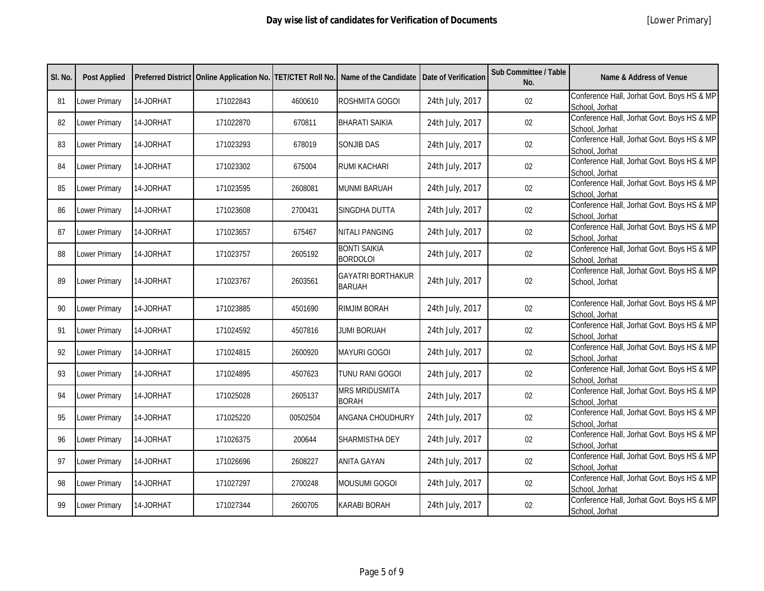| SI. No. | <b>Post Applied</b>  |           |           |          | Preferred District   Online Application No.   TET/CTET Roll No.   Name of the Candidate   Date of Verification |                 | Sub Committee / Table<br>No. | Name & Address of Venue                                      |
|---------|----------------------|-----------|-----------|----------|----------------------------------------------------------------------------------------------------------------|-----------------|------------------------------|--------------------------------------------------------------|
| 81      | <b>Lower Primary</b> | 14-JORHAT | 171022843 | 4600610  | ROSHMITA GOGOI                                                                                                 | 24th July, 2017 | 02                           | Conference Hall, Jorhat Govt. Boys HS & MP<br>School, Jorhat |
| 82      | <b>Lower Primary</b> | 14-JORHAT | 171022870 | 670811   | <b>BHARATI SAIKIA</b>                                                                                          | 24th July, 2017 | 02                           | Conference Hall, Jorhat Govt. Boys HS & MP<br>School, Jorhat |
| 83      | Lower Primary        | 14-JORHAT | 171023293 | 678019   | <b>SONJIB DAS</b>                                                                                              | 24th July, 2017 | 02                           | Conference Hall, Jorhat Govt. Boys HS & MP<br>School, Jorhat |
| 84      | Lower Primary        | 14-JORHAT | 171023302 | 675004   | <b>RUMI KACHARI</b>                                                                                            | 24th July, 2017 | 02                           | Conference Hall, Jorhat Govt. Boys HS & MP<br>School, Jorhat |
| 85      | Lower Primary        | 14-JORHAT | 171023595 | 2608081  | <b>MUNMI BARUAH</b>                                                                                            | 24th July, 2017 | 02                           | Conference Hall, Jorhat Govt. Boys HS & MP<br>School, Jorhat |
| 86      | Lower Primary        | 14-JORHAT | 171023608 | 2700431  | SINGDHA DUTTA                                                                                                  | 24th July, 2017 | 02                           | Conference Hall, Jorhat Govt. Boys HS & MP<br>School, Jorhat |
| 87      | Lower Primary        | 14-JORHAT | 171023657 | 675467   | <b>NITALI PANGING</b>                                                                                          | 24th July, 2017 | 02                           | Conference Hall, Jorhat Govt. Boys HS & MP<br>School, Jorhat |
| 88      | Lower Primary        | 14-JORHAT | 171023757 | 2605192  | <b>BONTI SAIKIA</b><br><b>BORDOLOI</b>                                                                         | 24th July, 2017 | 02                           | Conference Hall, Jorhat Govt. Boys HS & MP<br>School, Jorhat |
| 89      | Lower Primary        | 14-JORHAT | 171023767 | 2603561  | <b>GAYATRI BORTHAKUR</b><br><b>BARUAH</b>                                                                      | 24th July, 2017 | 02                           | Conference Hall, Jorhat Govt. Boys HS & MP<br>School, Jorhat |
| 90      | Lower Primary        | 14-JORHAT | 171023885 | 4501690  | RIMJIM BORAH                                                                                                   | 24th July, 2017 | 02                           | Conference Hall, Jorhat Govt. Boys HS & MP<br>School, Jorhat |
| 91      | <b>Lower Primary</b> | 14-JORHAT | 171024592 | 4507816  | <b>JUMI BORUAH</b>                                                                                             | 24th July, 2017 | 02                           | Conference Hall, Jorhat Govt. Boys HS & MP<br>School, Jorhat |
| 92      | Lower Primary        | 14-JORHAT | 171024815 | 2600920  | <b>MAYURI GOGOI</b>                                                                                            | 24th July, 2017 | 02                           | Conference Hall, Jorhat Govt. Boys HS & MP<br>School, Jorhat |
| 93      | Lower Primary        | 14-JORHAT | 171024895 | 4507623  | TUNU RANI GOGOI                                                                                                | 24th July, 2017 | 02                           | Conference Hall, Jorhat Govt. Boys HS & MP<br>School, Jorhat |
| 94      | Lower Primary        | 14-JORHAT | 171025028 | 2605137  | <b>MRS MRIDUSMITA</b><br><b>BORAH</b>                                                                          | 24th July, 2017 | 02                           | Conference Hall, Jorhat Govt. Boys HS & MP<br>School, Jorhat |
| 95      | Lower Primary        | 14-JORHAT | 171025220 | 00502504 | ANGANA CHOUDHURY                                                                                               | 24th July, 2017 | 02                           | Conference Hall, Jorhat Govt. Boys HS & MP<br>School, Jorhat |
| 96      | Lower Primary        | 14-JORHAT | 171026375 | 200644   | SHARMISTHA DEY                                                                                                 | 24th July, 2017 | 02                           | Conference Hall, Jorhat Govt. Boys HS & MP<br>School, Jorhat |
| 97      | Lower Primary        | 14-JORHAT | 171026696 | 2608227  | <b>ANITA GAYAN</b>                                                                                             | 24th July, 2017 | 02                           | Conference Hall, Jorhat Govt. Boys HS & MP<br>School, Jorhat |
| 98      | Lower Primary        | 14-JORHAT | 171027297 | 2700248  | <b>MOUSUMI GOGOI</b>                                                                                           | 24th July, 2017 | 02                           | Conference Hall, Jorhat Govt. Boys HS & MP<br>School, Jorhat |
| 99      | Lower Primary        | 14-JORHAT | 171027344 | 2600705  | <b>KARABI BORAH</b>                                                                                            | 24th July, 2017 | 02                           | Conference Hall, Jorhat Govt. Boys HS & MP<br>School, Jorhat |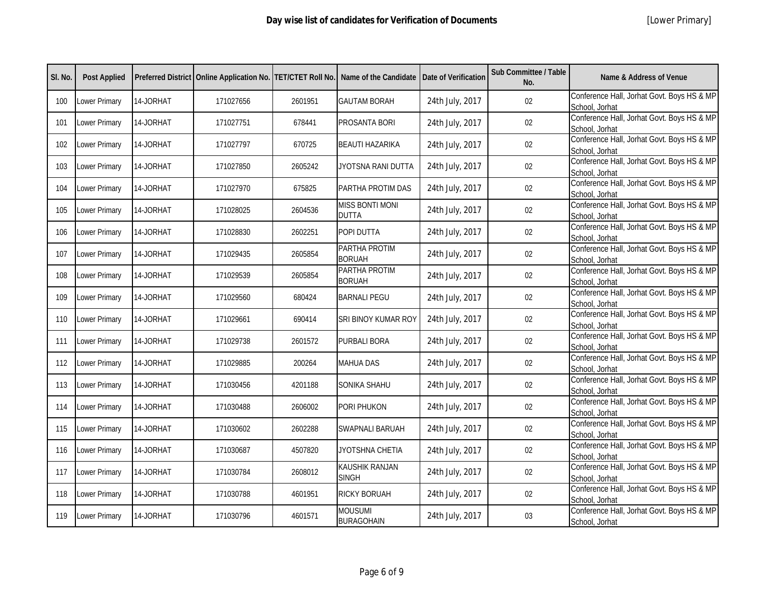| SI. No. | <b>Post Applied</b>  |           |           |         | Preferred District   Online Application No.   TET/CTET Roll No.   Name of the Candidate | Date of Verification | Sub Committee / Table<br>No. | <b>Name &amp; Address of Venue</b>                           |
|---------|----------------------|-----------|-----------|---------|-----------------------------------------------------------------------------------------|----------------------|------------------------------|--------------------------------------------------------------|
| 100     | Lower Primary        | 14-JORHAT | 171027656 | 2601951 | <b>GAUTAM BORAH</b>                                                                     | 24th July, 2017      | 02                           | Conference Hall, Jorhat Govt. Boys HS & MP<br>School, Jorhat |
| 101     | Lower Primary        | 14-JORHAT | 171027751 | 678441  | <b>PROSANTA BORI</b>                                                                    | 24th July, 2017      | 02                           | Conference Hall, Jorhat Govt. Boys HS & MP<br>School, Jorhat |
| 102     | Lower Primary        | 14-JORHAT | 171027797 | 670725  | <b>BEAUTI HAZARIKA</b>                                                                  | 24th July, 2017      | 02                           | Conference Hall, Jorhat Govt. Boys HS & MP<br>School, Jorhat |
| 103     | Lower Primary        | 14-JORHAT | 171027850 | 2605242 | JYOTSNA RANI DUTTA                                                                      | 24th July, 2017      | 02                           | Conference Hall, Jorhat Govt. Boys HS & MP<br>School, Jorhat |
| 104     | Lower Primary        | 14-JORHAT | 171027970 | 675825  | PARTHA PROTIM DAS                                                                       | 24th July, 2017      | 02                           | Conference Hall, Jorhat Govt. Boys HS & MP<br>School, Jorhat |
| 105     | Lower Primary        | 14-JORHAT | 171028025 | 2604536 | <b>MISS BONTI MONI</b><br><b>DUTTA</b>                                                  | 24th July, 2017      | 02                           | Conference Hall, Jorhat Govt. Boys HS & MP<br>School, Jorhat |
| 106     | Lower Primary        | 14-JORHAT | 171028830 | 2602251 | POPI DUTTA                                                                              | 24th July, 2017      | 02                           | Conference Hall, Jorhat Govt. Boys HS & MP<br>School, Jorhat |
| 107     | Lower Primary        | 14-JORHAT | 171029435 | 2605854 | PARTHA PROTIM<br><b>BORUAH</b>                                                          | 24th July, 2017      | 02                           | Conference Hall, Jorhat Govt. Boys HS & MP<br>School, Jorhat |
| 108     | Lower Primary        | 14-JORHAT | 171029539 | 2605854 | PARTHA PROTIM<br><b>BORUAH</b>                                                          | 24th July, 2017      | 02                           | Conference Hall, Jorhat Govt. Boys HS & MP<br>School, Jorhat |
| 109     | Lower Primary        | 14-JORHAT | 171029560 | 680424  | <b>BARNALI PEGU</b>                                                                     | 24th July, 2017      | 02                           | Conference Hall, Jorhat Govt. Boys HS & MP<br>School, Jorhat |
| 110     | Lower Primary        | 14-JORHAT | 171029661 | 690414  | SRI BINOY KUMAR ROY                                                                     | 24th July, 2017      | 02                           | Conference Hall, Jorhat Govt. Boys HS & MP<br>School, Jorhat |
| 111     | Lower Primary        | 14-JORHAT | 171029738 | 2601572 | <b>PURBALI BORA</b>                                                                     | 24th July, 2017      | 02                           | Conference Hall, Jorhat Govt. Boys HS & MP<br>School, Jorhat |
| 112     | Lower Primary        | 14-JORHAT | 171029885 | 200264  | <b>MAHUA DAS</b>                                                                        | 24th July, 2017      | 02                           | Conference Hall, Jorhat Govt. Boys HS & MP<br>School, Jorhat |
| 113     | Lower Primary        | 14-JORHAT | 171030456 | 4201188 | <b>SONIKA SHAHU</b>                                                                     | 24th July, 2017      | 02                           | Conference Hall, Jorhat Govt. Boys HS & MP<br>School, Jorhat |
| 114     | Lower Primary        | 14-JORHAT | 171030488 | 2606002 | PORI PHUKON                                                                             | 24th July, 2017      | 02                           | Conference Hall, Jorhat Govt. Boys HS & MP<br>School, Jorhat |
| 115     | Lower Primary        | 14-JORHAT | 171030602 | 2602288 | SWAPNALI BARUAH                                                                         | 24th July, 2017      | 02                           | Conference Hall, Jorhat Govt. Boys HS & MP<br>School, Jorhat |
| 116     | Lower Primary        | 14-JORHAT | 171030687 | 4507820 | JYOTSHNA CHETIA                                                                         | 24th July, 2017      | 02                           | Conference Hall, Jorhat Govt. Boys HS & MP<br>School, Jorhat |
| 117     | Lower Primary        | 14-JORHAT | 171030784 | 2608012 | KAUSHIK RANJAN<br><b>SINGH</b>                                                          | 24th July, 2017      | 02                           | Conference Hall, Jorhat Govt. Boys HS & MP<br>School, Jorhat |
| 118     | Lower Primary        | 14-JORHAT | 171030788 | 4601951 | <b>RICKY BORUAH</b>                                                                     | 24th July, 2017      | 02                           | Conference Hall, Jorhat Govt. Boys HS & MP<br>School, Jorhat |
| 119     | <b>Lower Primary</b> | 14-JORHAT | 171030796 | 4601571 | <b>MOUSUMI</b><br><b>BURAGOHAIN</b>                                                     | 24th July, 2017      | 03                           | Conference Hall, Jorhat Govt. Boys HS & MP<br>School, Jorhat |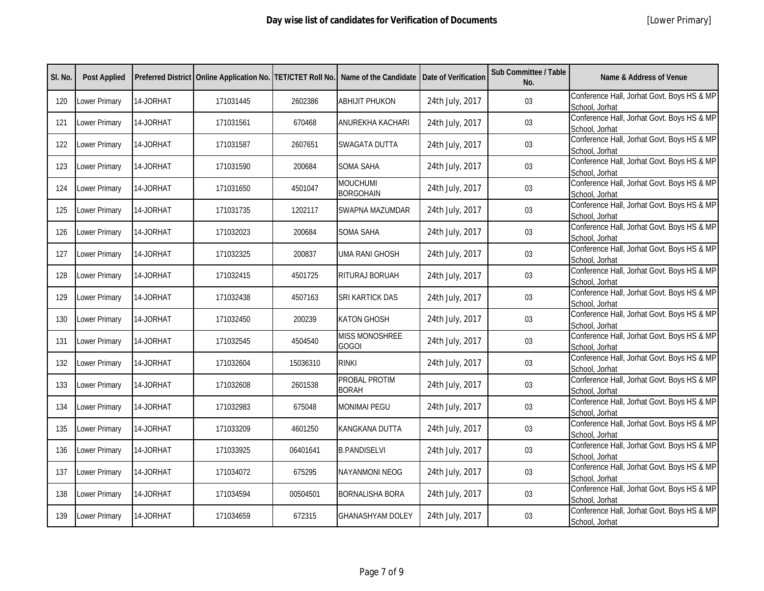| SI. No. | <b>Post Applied</b> |           |           |          | Preferred District   Online Application No.   TET/CTET Roll No.   Name of the Candidate   Date of Verification |                 | Sub Committee / Table<br>No. | <b>Name &amp; Address of Venue</b>                           |
|---------|---------------------|-----------|-----------|----------|----------------------------------------------------------------------------------------------------------------|-----------------|------------------------------|--------------------------------------------------------------|
| 120     | Lower Primary       | 14-JORHAT | 171031445 | 2602386  | <b>ABHIJIT PHUKON</b>                                                                                          | 24th July, 2017 | 03                           | Conference Hall, Jorhat Govt. Boys HS & MP<br>School, Jorhat |
| 121     | Lower Primary       | 14-JORHAT | 171031561 | 670468   | ANUREKHA KACHARI                                                                                               | 24th July, 2017 | $03\,$                       | Conference Hall, Jorhat Govt. Boys HS & MP<br>School, Jorhat |
| 122     | Lower Primary       | 14-JORHAT | 171031587 | 2607651  | SWAGATA DUTTA                                                                                                  | 24th July, 2017 | 03                           | Conference Hall, Jorhat Govt. Boys HS & MP<br>School, Jorhat |
| 123     | Lower Primary       | 14-JORHAT | 171031590 | 200684   | <b>SOMA SAHA</b>                                                                                               | 24th July, 2017 | 03                           | Conference Hall, Jorhat Govt. Boys HS & MP<br>School, Jorhat |
| 124     | Lower Primary       | 14-JORHAT | 171031650 | 4501047  | <b>MOUCHUMI</b><br><b>BORGOHAIN</b>                                                                            | 24th July, 2017 | 03                           | Conference Hall, Jorhat Govt. Boys HS & MP<br>School, Jorhat |
| 125     | Lower Primary       | 14-JORHAT | 171031735 | 1202117  | SWAPNA MAZUMDAR                                                                                                | 24th July, 2017 | 03                           | Conference Hall, Jorhat Govt. Boys HS & MP<br>School, Jorhat |
| 126     | Lower Primary       | 14-JORHAT | 171032023 | 200684   | <b>SOMA SAHA</b>                                                                                               | 24th July, 2017 | 03                           | Conference Hall, Jorhat Govt. Boys HS & MP<br>School, Jorhat |
| 127     | Lower Primary       | 14-JORHAT | 171032325 | 200837   | <b>UMA RANI GHOSH</b>                                                                                          | 24th July, 2017 | 03                           | Conference Hall, Jorhat Govt. Boys HS & MP<br>School, Jorhat |
| 128     | Lower Primary       | 14-JORHAT | 171032415 | 4501725  | RITURAJ BORUAH                                                                                                 | 24th July, 2017 | 03                           | Conference Hall, Jorhat Govt. Boys HS & MP<br>School, Jorhat |
| 129     | Lower Primary       | 14-JORHAT | 171032438 | 4507163  | SRI KARTICK DAS                                                                                                | 24th July, 2017 | 03                           | Conference Hall, Jorhat Govt. Boys HS & MP<br>School, Jorhat |
| 130     | Lower Primary       | 14-JORHAT | 171032450 | 200239   | <b>KATON GHOSH</b>                                                                                             | 24th July, 2017 | 03                           | Conference Hall, Jorhat Govt. Boys HS & MP<br>School, Jorhat |
| 131     | Lower Primary       | 14-JORHAT | 171032545 | 4504540  | <b>MISS MONOSHREE</b><br><b>GOGOI</b>                                                                          | 24th July, 2017 | 03                           | Conference Hall, Jorhat Govt. Boys HS & MP<br>School, Jorhat |
| 132     | Lower Primary       | 14-JORHAT | 171032604 | 15036310 | <b>RINKI</b>                                                                                                   | 24th July, 2017 | 03                           | Conference Hall, Jorhat Govt. Boys HS & MP<br>School, Jorhat |
| 133     | Lower Primary       | 14-JORHAT | 171032608 | 2601538  | PROBAL PROTIM<br><b>BORAH</b>                                                                                  | 24th July, 2017 | 03                           | Conference Hall, Jorhat Govt. Boys HS & MP<br>School, Jorhat |
| 134     | Lower Primary       | 14-JORHAT | 171032983 | 675048   | <b>MONIMAI PEGU</b>                                                                                            | 24th July, 2017 | 03                           | Conference Hall, Jorhat Govt. Boys HS & MP<br>School, Jorhat |
| 135     | Lower Primary       | 14-JORHAT | 171033209 | 4601250  | KANGKANA DUTTA                                                                                                 | 24th July, 2017 | 03                           | Conference Hall, Jorhat Govt. Boys HS & MP<br>School, Jorhat |
| 136     | Lower Primary       | 14-JORHAT | 171033925 | 06401641 | <b>B.PANDISELVI</b>                                                                                            | 24th July, 2017 | 03                           | Conference Hall, Jorhat Govt. Boys HS & MP<br>School, Jorhat |
| 137     | Lower Primary       | 14-JORHAT | 171034072 | 675295   | <b>NAYANMONI NEOG</b>                                                                                          | 24th July, 2017 | 03                           | Conference Hall, Jorhat Govt. Boys HS & MP<br>School, Jorhat |
| 138     | Lower Primary       | 14-JORHAT | 171034594 | 00504501 | <b>BORNALISHA BORA</b>                                                                                         | 24th July, 2017 | 03                           | Conference Hall, Jorhat Govt. Boys HS & MP<br>School, Jorhat |
| 139     | Lower Primary       | 14-JORHAT | 171034659 | 672315   | <b>GHANASHYAM DOLEY</b>                                                                                        | 24th July, 2017 | 03                           | Conference Hall, Jorhat Govt. Boys HS & MP<br>School, Jorhat |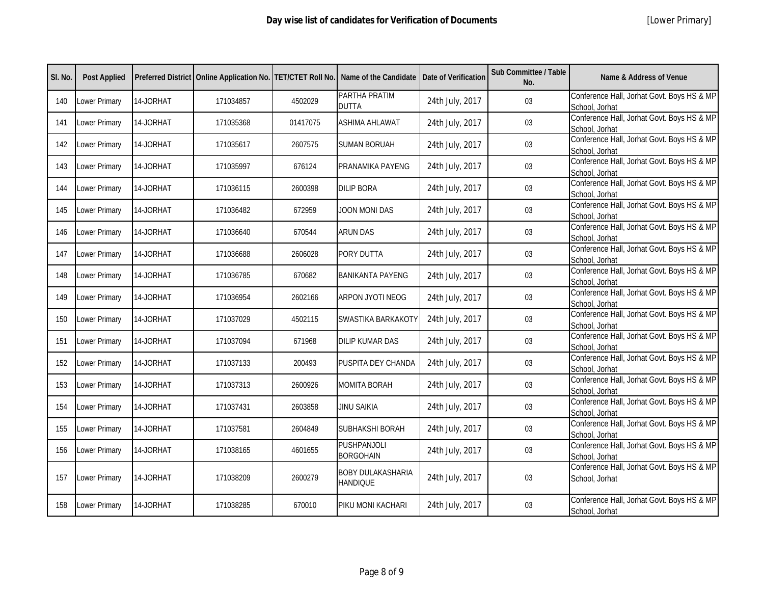| SI. No. | <b>Post Applied</b> |           |           |          | Preferred District   Online Application No.   TET/CTET Roll No.   Name of the Candidate   Date of Verification |                 | Sub Committee / Table<br>No. | Name & Address of Venue                                      |
|---------|---------------------|-----------|-----------|----------|----------------------------------------------------------------------------------------------------------------|-----------------|------------------------------|--------------------------------------------------------------|
| 140     | Lower Primary       | 14-JORHAT | 171034857 | 4502029  | PARTHA PRATIM<br><b>DUTTA</b>                                                                                  | 24th July, 2017 | 03                           | Conference Hall, Jorhat Govt. Boys HS & MP<br>School, Jorhat |
| 141     | Lower Primary       | 14-JORHAT | 171035368 | 01417075 | <b>ASHIMA AHLAWAT</b>                                                                                          | 24th July, 2017 | 03                           | Conference Hall, Jorhat Govt. Boys HS & MP<br>School, Jorhat |
| 142     | Lower Primary       | 14-JORHAT | 171035617 | 2607575  | <b>SUMAN BORUAH</b>                                                                                            | 24th July, 2017 | 03                           | Conference Hall, Jorhat Govt. Boys HS & MP<br>School, Jorhat |
| 143     | Lower Primary       | 14-JORHAT | 171035997 | 676124   | PRANAMIKA PAYENG                                                                                               | 24th July, 2017 | 03                           | Conference Hall, Jorhat Govt. Boys HS & MP<br>School, Jorhat |
| 144     | Lower Primary       | 14-JORHAT | 171036115 | 2600398  | <b>DILIP BORA</b>                                                                                              | 24th July, 2017 | 03                           | Conference Hall, Jorhat Govt. Boys HS & MP<br>School, Jorhat |
| 145     | Lower Primary       | 14-JORHAT | 171036482 | 672959   | JOON MONI DAS                                                                                                  | 24th July, 2017 | 03                           | Conference Hall, Jorhat Govt. Boys HS & MP<br>School, Jorhat |
| 146     | Lower Primary       | 14-JORHAT | 171036640 | 670544   | <b>ARUN DAS</b>                                                                                                | 24th July, 2017 | 03                           | Conference Hall, Jorhat Govt. Boys HS & MP<br>School, Jorhat |
| 147     | Lower Primary       | 14-JORHAT | 171036688 | 2606028  | PORY DUTTA                                                                                                     | 24th July, 2017 | 03                           | Conference Hall, Jorhat Govt. Boys HS & MP<br>School, Jorhat |
| 148     | Lower Primary       | 14-JORHAT | 171036785 | 670682   | <b>BANIKANTA PAYENG</b>                                                                                        | 24th July, 2017 | 03                           | Conference Hall, Jorhat Govt. Boys HS & MP<br>School, Jorhat |
| 149     | Lower Primary       | 14-JORHAT | 171036954 | 2602166  | ARPON JYOTI NEOG                                                                                               | 24th July, 2017 | 03                           | Conference Hall, Jorhat Govt. Boys HS & MP<br>School, Jorhat |
| 150     | Lower Primary       | 14-JORHAT | 171037029 | 4502115  | SWASTIKA BARKAKOTY                                                                                             | 24th July, 2017 | 03                           | Conference Hall, Jorhat Govt. Boys HS & MP<br>School, Jorhat |
| 151     | Lower Primary       | 14-JORHAT | 171037094 | 671968   | <b>DILIP KUMAR DAS</b>                                                                                         | 24th July, 2017 | 03                           | Conference Hall, Jorhat Govt. Boys HS & MP<br>School, Jorhat |
| 152     | Lower Primary       | 14-JORHAT | 171037133 | 200493   | PUSPITA DEY CHANDA                                                                                             | 24th July, 2017 | 03                           | Conference Hall, Jorhat Govt. Boys HS & MP<br>School, Jorhat |
| 153     | Lower Primary       | 14-JORHAT | 171037313 | 2600926  | <b>MOMITA BORAH</b>                                                                                            | 24th July, 2017 | 03                           | Conference Hall, Jorhat Govt. Boys HS & MP<br>School, Jorhat |
| 154     | Lower Primary       | 14-JORHAT | 171037431 | 2603858  | <b>JINU SAIKIA</b>                                                                                             | 24th July, 2017 | 03                           | Conference Hall, Jorhat Govt. Boys HS & MP<br>School, Jorhat |
| 155     | Lower Primary       | 14-JORHAT | 171037581 | 2604849  | SUBHAKSHI BORAH                                                                                                | 24th July, 2017 | 03                           | Conference Hall, Jorhat Govt. Boys HS & MP<br>School, Jorhat |
| 156     | Lower Primary       | 14-JORHAT | 171038165 | 4601655  | <b>PUSHPANJOLI</b><br><b>BORGOHAIN</b>                                                                         | 24th July, 2017 | $03\,$                       | Conference Hall, Jorhat Govt. Boys HS & MP<br>School, Jorhat |
| 157     | Lower Primary       | 14-JORHAT | 171038209 | 2600279  | <b>BOBY DULAKASHARIA</b><br><b>HANDIQUE</b>                                                                    | 24th July, 2017 | 03                           | Conference Hall, Jorhat Govt. Boys HS & MP<br>School, Jorhat |
| 158     | Lower Primary       | 14-JORHAT | 171038285 | 670010   | PIKU MONI KACHARI                                                                                              | 24th July, 2017 | 03                           | Conference Hall, Jorhat Govt. Boys HS & MP<br>School, Jorhat |